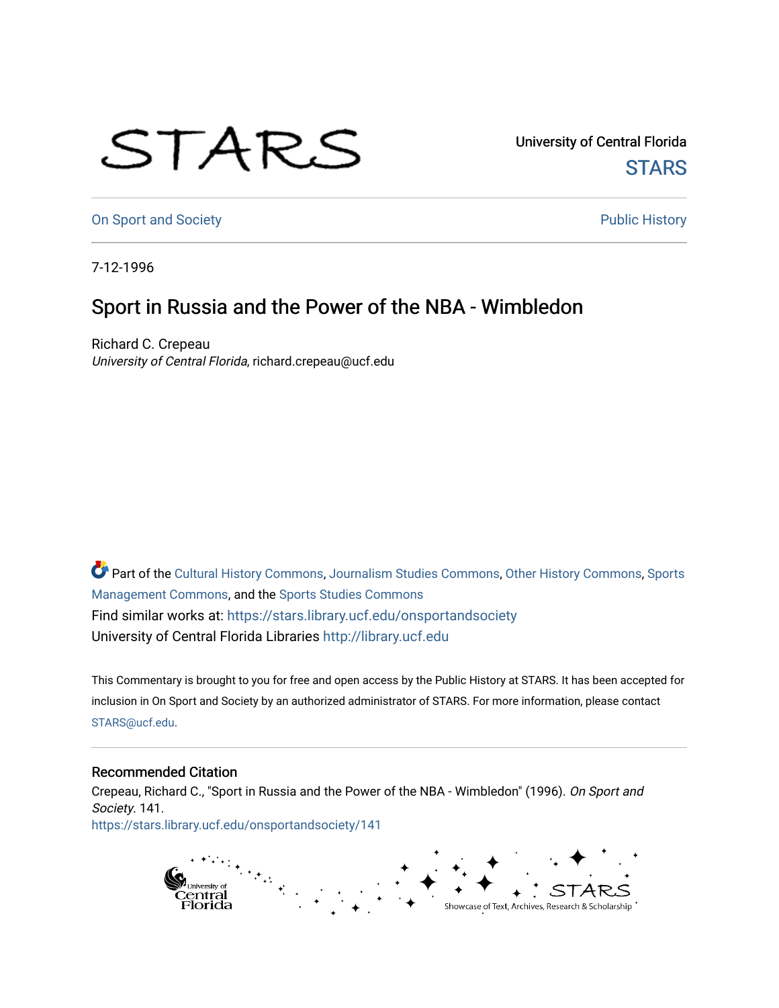## STARS

University of Central Florida **STARS** 

[On Sport and Society](https://stars.library.ucf.edu/onsportandsociety) **Public History** Public History

7-12-1996

## Sport in Russia and the Power of the NBA - Wimbledon

Richard C. Crepeau University of Central Florida, richard.crepeau@ucf.edu

Part of the [Cultural History Commons](http://network.bepress.com/hgg/discipline/496?utm_source=stars.library.ucf.edu%2Fonsportandsociety%2F141&utm_medium=PDF&utm_campaign=PDFCoverPages), [Journalism Studies Commons,](http://network.bepress.com/hgg/discipline/333?utm_source=stars.library.ucf.edu%2Fonsportandsociety%2F141&utm_medium=PDF&utm_campaign=PDFCoverPages) [Other History Commons,](http://network.bepress.com/hgg/discipline/508?utm_source=stars.library.ucf.edu%2Fonsportandsociety%2F141&utm_medium=PDF&utm_campaign=PDFCoverPages) [Sports](http://network.bepress.com/hgg/discipline/1193?utm_source=stars.library.ucf.edu%2Fonsportandsociety%2F141&utm_medium=PDF&utm_campaign=PDFCoverPages) [Management Commons](http://network.bepress.com/hgg/discipline/1193?utm_source=stars.library.ucf.edu%2Fonsportandsociety%2F141&utm_medium=PDF&utm_campaign=PDFCoverPages), and the [Sports Studies Commons](http://network.bepress.com/hgg/discipline/1198?utm_source=stars.library.ucf.edu%2Fonsportandsociety%2F141&utm_medium=PDF&utm_campaign=PDFCoverPages) Find similar works at: <https://stars.library.ucf.edu/onsportandsociety> University of Central Florida Libraries [http://library.ucf.edu](http://library.ucf.edu/) 

This Commentary is brought to you for free and open access by the Public History at STARS. It has been accepted for inclusion in On Sport and Society by an authorized administrator of STARS. For more information, please contact [STARS@ucf.edu](mailto:STARS@ucf.edu).

## Recommended Citation

Crepeau, Richard C., "Sport in Russia and the Power of the NBA - Wimbledon" (1996). On Sport and Society. 141. [https://stars.library.ucf.edu/onsportandsociety/141](https://stars.library.ucf.edu/onsportandsociety/141?utm_source=stars.library.ucf.edu%2Fonsportandsociety%2F141&utm_medium=PDF&utm_campaign=PDFCoverPages)

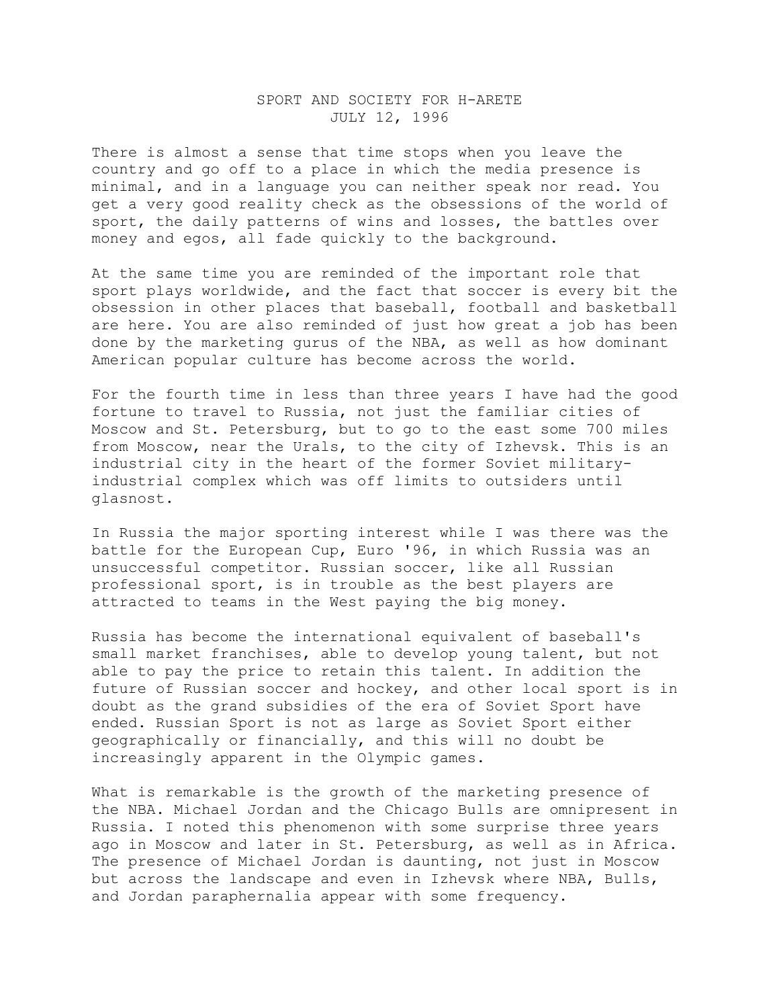## SPORT AND SOCIETY FOR H-ARETE JULY 12, 1996

There is almost a sense that time stops when you leave the country and go off to a place in which the media presence is minimal, and in a language you can neither speak nor read. You get a very good reality check as the obsessions of the world of sport, the daily patterns of wins and losses, the battles over money and egos, all fade quickly to the background.

At the same time you are reminded of the important role that sport plays worldwide, and the fact that soccer is every bit the obsession in other places that baseball, football and basketball are here. You are also reminded of just how great a job has been done by the marketing gurus of the NBA, as well as how dominant American popular culture has become across the world.

For the fourth time in less than three years I have had the good fortune to travel to Russia, not just the familiar cities of Moscow and St. Petersburg, but to go to the east some 700 miles from Moscow, near the Urals, to the city of Izhevsk. This is an industrial city in the heart of the former Soviet militaryindustrial complex which was off limits to outsiders until glasnost.

In Russia the major sporting interest while I was there was the battle for the European Cup, Euro '96, in which Russia was an unsuccessful competitor. Russian soccer, like all Russian professional sport, is in trouble as the best players are attracted to teams in the West paying the big money.

Russia has become the international equivalent of baseball's small market franchises, able to develop young talent, but not able to pay the price to retain this talent. In addition the future of Russian soccer and hockey, and other local sport is in doubt as the grand subsidies of the era of Soviet Sport have ended. Russian Sport is not as large as Soviet Sport either geographically or financially, and this will no doubt be increasingly apparent in the Olympic games.

What is remarkable is the growth of the marketing presence of the NBA. Michael Jordan and the Chicago Bulls are omnipresent in Russia. I noted this phenomenon with some surprise three years ago in Moscow and later in St. Petersburg, as well as in Africa. The presence of Michael Jordan is daunting, not just in Moscow but across the landscape and even in Izhevsk where NBA, Bulls, and Jordan paraphernalia appear with some frequency.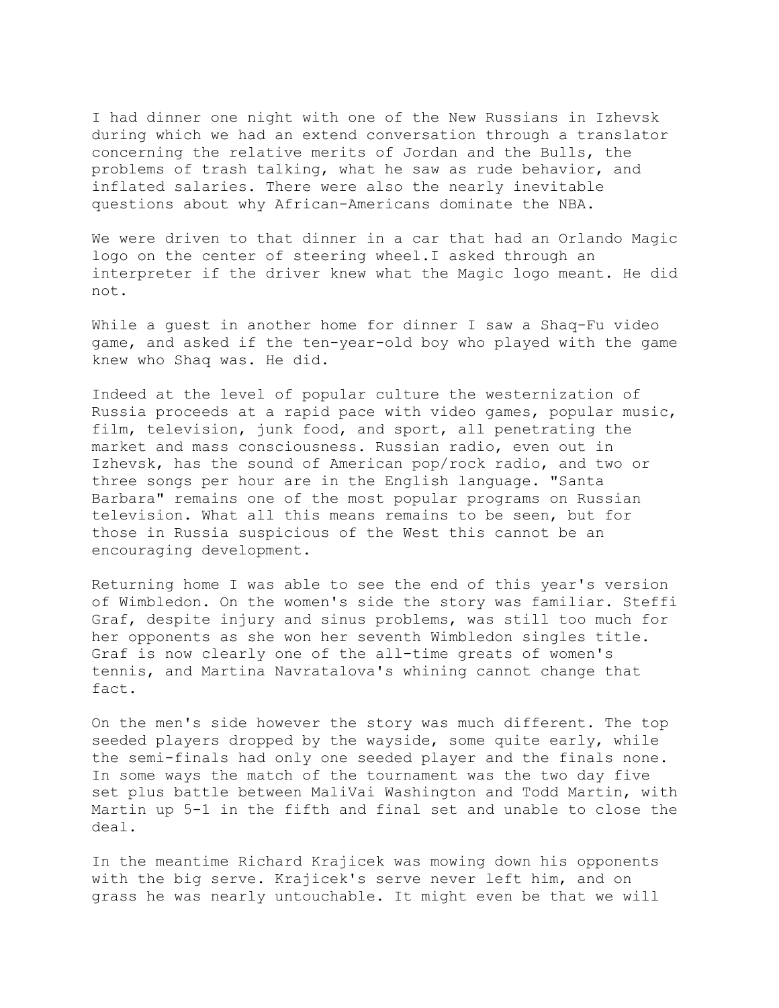I had dinner one night with one of the New Russians in Izhevsk during which we had an extend conversation through a translator concerning the relative merits of Jordan and the Bulls, the problems of trash talking, what he saw as rude behavior, and inflated salaries. There were also the nearly inevitable questions about why African-Americans dominate the NBA.

We were driven to that dinner in a car that had an Orlando Magic logo on the center of steering wheel.I asked through an interpreter if the driver knew what the Magic logo meant. He did not.

While a guest in another home for dinner I saw a Shaq-Fu video game, and asked if the ten-year-old boy who played with the game knew who Shaq was. He did.

Indeed at the level of popular culture the westernization of Russia proceeds at a rapid pace with video games, popular music, film, television, junk food, and sport, all penetrating the market and mass consciousness. Russian radio, even out in Izhevsk, has the sound of American pop/rock radio, and two or three songs per hour are in the English language. "Santa Barbara" remains one of the most popular programs on Russian television. What all this means remains to be seen, but for those in Russia suspicious of the West this cannot be an encouraging development.

Returning home I was able to see the end of this year's version of Wimbledon. On the women's side the story was familiar. Steffi Graf, despite injury and sinus problems, was still too much for her opponents as she won her seventh Wimbledon singles title. Graf is now clearly one of the all-time greats of women's tennis, and Martina Navratalova's whining cannot change that fact.

On the men's side however the story was much different. The top seeded players dropped by the wayside, some quite early, while the semi-finals had only one seeded player and the finals none. In some ways the match of the tournament was the two day five set plus battle between MaliVai Washington and Todd Martin, with Martin up 5-1 in the fifth and final set and unable to close the deal.

In the meantime Richard Krajicek was mowing down his opponents with the big serve. Krajicek's serve never left him, and on grass he was nearly untouchable. It might even be that we will